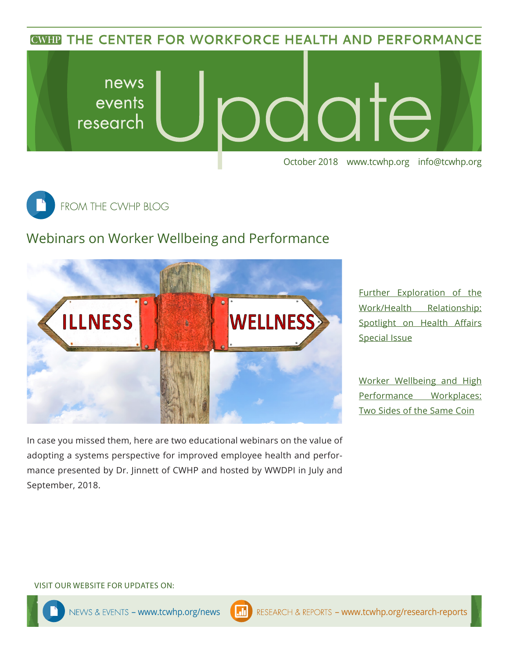**CWHP THE CENTER FOR WORKFORCE HEALTH AND PERFORMANCE** 





## Webinars on Worker Wellbeing and Performance



In case you missed them, here are two educational webinars on the value of adopting a systems perspective for improved employee health and performance presented by Dr. Jinnett of CWHP and hosted by WWDPI in July and September, 2018.

[Further Exploration of the](https://www.wwdpi.org/Webinars/Pages/Webinar.aspx?wbID=205)  [Work/Health Relationship:](https://www.wwdpi.org/Webinars/Pages/Webinar.aspx?wbID=205)  Spotlight on Health Affairs [Special Issue](https://www.wwdpi.org/Webinars/Pages/Webinar.aspx?wbID=205)

[Worker Wellbeing and High](https://www.wwdpi.org/Webinars/Pages/Webinar.aspx?wbID=203)  [Performance Workplaces:](https://www.wwdpi.org/Webinars/Pages/Webinar.aspx?wbID=203)  [Two Sides of the Same Coin](https://www.wwdpi.org/Webinars/Pages/Webinar.aspx?wbID=203)

#### VISIT OUR WEBSITE FOR UPDATES ON: